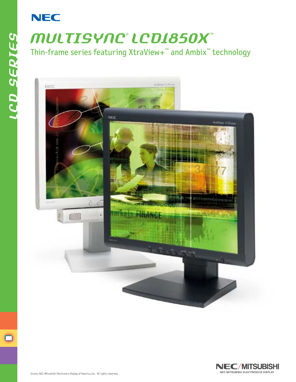## **NEC**

*lcd series*

**LCD SERIES** 

## *multisync® LCD1850X™* Thin-frame series featuring XtraView+*™* and Ambix*™* technology



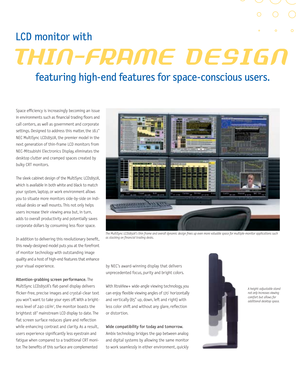## LCD monitor with

# *Thin-Frame Design*

### featuring high-end features for space-conscious users.

Space efficiency is increasingly becoming an issue in environments such as financial trading floors and call centers, as well as government and corporate settings. Designed to address this matter, the 18.1" NEC MultiSync LCD1850X, the premier model in the next generation of thin-frame LCD monitors from NEC-Mitsubishi Electronics Display, eliminates the desktop clutter and cramped spaces created by bulky CRT monitors.

The sleek cabinet design of the MultiSync LCD1850X, which is available in both white and black to match your system, laptop, or work environment allows you to situate more monitors side-by-side on individual desks or wall mounts. This not only helps users increase their viewing area but, in turn, adds to overall productivity and potentially saves corporate dollars by consuming less floor space.

In addition to delivering this revolutionary benefit, this newly-designed model puts you at the forefront of monitor technology with outstanding image quality and a host of high-end features that enhance your visual experience.

Attention-grabbing screen performance. The MultiSync LCD1850X's flat-panel display delivers flicker-free, precise images and crystal-clear text you won't want to take your eyes off. With a brightness level of 240 cd/m<sup>2</sup>, the monitor boasts the brightest 18" mainstream LCD display to date. The flat screen surface reduces glare and reflection while enhancing contrast and clarity. As a result, users experience significantly less eyestrain and fatigue when compared to a traditional CRT monitor. The benefits of this surface are complemented



*The MultiSync LCD1850X's thin frame and overall dynamic design frees up even more valuable space for multiple-monitor applications such as stacking on financial trading desks.* 

by NEC's award-winning display that delivers unprecedented focus, purity and bright colors.

With XtraView+ wide-angle viewing technology, you can enjoy flexible viewing angles of 170° horizontally and vertically (85° up, down, left and right) with less color shift and without any glare, reflection or distortion.

#### Wide compatibility for today and tomorrow.

Ambix technology bridges the gap between analog and digital systems by allowing the same monitor to work seamlessly in either environment, quickly



*A height-adjustable stand not only increases viewing comfort but allows for additional desktop space.*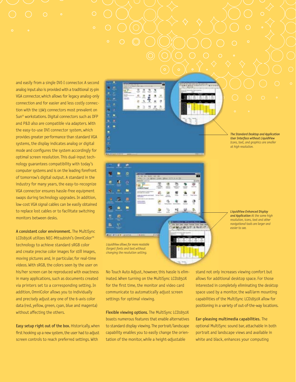and easily from a single DVI-I connector. A second analog input also is provided with a traditional 15-pin VGA connector, which allows for legacy analog-only connection and for easier and less costly connection with the 13W3 connectors most prevalent on Sun® workstations. Digital connectors such as DFP and P&D also are compatible via adapters. With the easy-to-use DVI connector system, which provides greater performance than standard VGA systems, the display indicates analog or digital mode and configures the system accordingly for optimal screen resolution. This dual-input technology guarantees compatibility with today's computer systems and is on the leading forefront of tomorrow's digital output. A standard in the industry for many years, the easy-to-recognize VGA connector ensures hassle-free equipment swaps during technology upgrades. In addition, low-cost VGA signal cables can be easily obtained to replace lost cables or to facilitate switching monitors between desks.

A consistent color environment. The MultiSync LCD1850X utilizes NEC-Mitsubishi's OmniColor<sup>™</sup> technology to achieve standard sRGB color and create precise color images for still images, moving pictures and, in particular, for real-time videos. With sRGB, the colors seen by the user on his/her screen can be reproduced with exactness in many applications, such as documents created via printers set to a corresponding setting. In addition, OmniColor allows you to individually and precisely adjust any one of the 6-axis color data(red, yellow, green, cyan, blue and magenta) without affecting the others.

Easy setup right out of the box. Historically, when first hooking up a new system, the user had to adjust screen controls to reach preferred settings. With

÷ ۸  $\dot{a}$  $\circ$  $\overline{\mathbf{3}}$ 

*The Standard Desktop and Application User Interface without LiquidView Icons, text, and araphics are smaller at high resolution.*

۸ p m. ٠  $\overline{\mathbf{m}}$ ٠ ٠ **DEMISSION AREA HISSANI** *LiquidView allows for more readable (larger) fonts and text without* 

*changing the resolution setting.*

۰

ā £ ٠

ñ.

醋

扁

a e

٠ Ξ Ä

ž

×

No Touch Auto Adjust, however, this hassle is eliminated. When turning on the MultiSync LCD1850X for the first time, the monitor and video card communicate to automatically adjust screen settings for optimal viewing.

Flexible viewing options. The MultiSync LCD1850X boasts numerous features that enable alternatives to standard display viewing. The portrait/landscape capability enables you to easily change the orientation of the monitor, while a height-adjustable

*resolution, icons, text and other navigational tools are larger and easier to see.*

*LiquidView Enhanced Display and Application At the same high*

stand not only increases viewing comfort but allows for additional desktop space. For those interested in completely eliminating the desktop space used by a monitor, the wall/arm mounting capabilities of the MultiSync LCD1850X allow for positioning in a variety of out-of-the-way locations.

Ear-pleasing multimedia capabilities. The optional MultiSync sound bar, attachable in both portrait and landscape views and available in white and black, enhances your computing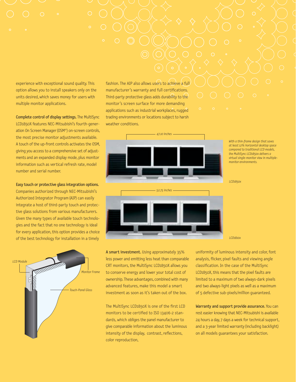experience with exceptional sound quality. This option allows you to install speakers only on the units desired, which saves money for users with multiple monitor applications.

Complete control of display settings. The MultiSync LCD1850X features NEC-Mitsubishi's fourth-generation On Screen Manager (OSM®) on-screen controls, the most precise monitor adjustments available. A touch of the up-front controls activates the OSM, giving you access to a comprehensive set of adjustments and an expanded display mode, plus monitor information such as vertical refresh rate, model number and serial number.

Easy touch or protective glass integration options. Companies authorized through NEC-Mitsubishi's Authorized Integrator Program (AIP) can easily integrate a host of third-party touch and protective glass solutions from various manufacturers. Given the many types of available touch technologies and the fact that no one technology is ideal for every application, this option provides a choice of the best technology for installation in a timely



fashion. The AIP also allows users to achieve a full manufacturer's warranty and full certifications. Third-party protective glass adds durability to the monitor's screen surface for more demanding applications such as industrial workplaces, rugged trading environments or locations subject to harsh weather conditions.



*With a thin-frame design that saves at least 12% horizontal desktop space compared to traditional LCD models, the MultiSync LCD1850x delivers a virtual single-monitor view in multiplemonitor environments.*

*LCD1850x*

A smart investment. Using approximately 35% less power and emitting less heat than comparable CRT monitors, the MultiSync LCD1850X allows you to conserve energy and lower your total cost of ownership. These advantages, combined with many advanced features, make this model a smart investment as soon as it's taken out of the box.

The MultiSync LCD1850X is one of the first LCD monitors to be certified to ISO 13406-2 standards, which obliges the panel manufacturer to give comparable information about the luminous intensity of the display, contrast, reflections, color reproduction,

uniformity of luminous intensity and color, font analysis, flicker, pixel faults and viewing angle classification. In the case of the MultiSync LCD1850X, this means that the pixel faults are limited to a maximum of two always-dark pixels and two always-light pixels as well as a maximum of 5 defective sub-pixels/million guaranteed.

*LCD1810x*

Warranty and support provide assurance. You can rest easier knowing that NEC-Mitsubishi is available 24 hours a day, 7 days a week for technical support, and a 3-year limited warranty (including backlight) on all models guarantees your satisfaction.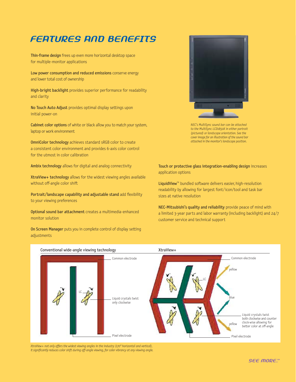#### *features and benefits*

Thin-frame design frees up even more horizontal desktop space for multiple-monitor applications

Low power consumption and reduced emissions conserve energy and lower total cost of ownership

High-bright backlight provides superior performance for readability and clarity

No Touch Auto Adjust provides optimal display settings upon initial power-on

Cabinet color options of white or black allow you to match your system, laptop or work environment

OmniColor technology achieves standard sRGB color to create a consistent color environment and provides 6-axis color control for the utmost in color calibration

Ambix technology allows for digital and analog connectivity

XtraView+ technology allows for the widest viewing angles available without off-angle color shift

Portrait/landscape capability and adjustable stand add flexibility to your viewing preferences

Optional sound bar attachment creates a multimedia-enhanced monitor solution

On Screen Manager puts you in complete control of display setting adjustments



*NEC's MultiSync sound bar can be attached to the MultiSync LCD1850X in either portrait (pictured) or landscape orientation. See the cover image for an illustration of the sound bar attached in the monitor's landscape position.*

#### Touch or protective glass integration-enabling design increases application options

LiquidView<sup>™</sup> bundled software delivers easier, high-resolution readability by allowing for largest font/icon/tool and task bar sizes at native resolution

NEC-Mitsubishi's quality and reliability provide peace of mind with a limited 3-year parts and labor warranty (including backlight) and 24/7 customer service and technical support



*XtraView+ not only offers the widest viewing angles in the industry (170° horizontal and vertical), it significantly reduces color shift during off-angle viewing, for color vibrancy at any viewing angle.*